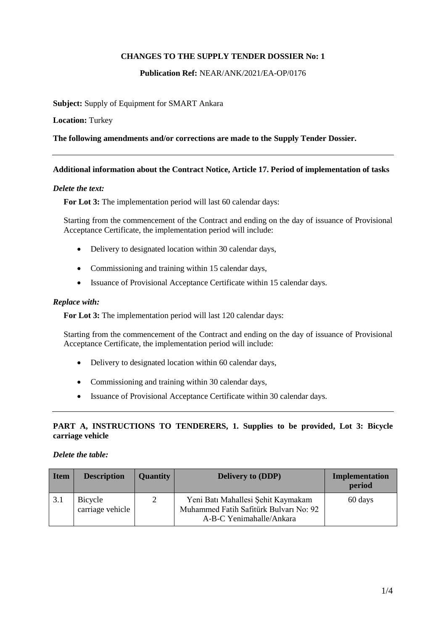# **CHANGES TO THE SUPPLY TENDER DOSSIER No: 1**

**Publication Ref:** NEAR/ANK/2021/EA-OP/0176

**Subject:** Supply of Equipment for SMART Ankara

**Location:** Turkey

**The following amendments and/or corrections are made to the Supply Tender Dossier.**

## **Additional information about the Contract Notice, Article 17. Period of implementation of tasks**

## *Delete the text:*

**For Lot 3:** The implementation period will last 60 calendar days:

Starting from the commencement of the Contract and ending on the day of issuance of Provisional Acceptance Certificate, the implementation period will include:

- Delivery to designated location within 30 calendar days,
- Commissioning and training within 15 calendar days,
- Issuance of Provisional Acceptance Certificate within 15 calendar days.

## *Replace with:*

**For Lot 3:** The implementation period will last 120 calendar days:

Starting from the commencement of the Contract and ending on the day of issuance of Provisional Acceptance Certificate, the implementation period will include:

- Delivery to designated location within 60 calendar days,
- Commissioning and training within 30 calendar days,
- Issuance of Provisional Acceptance Certificate within 30 calendar days.

## **PART A, INSTRUCTIONS TO TENDERERS, 1. Supplies to be provided, Lot 3: Bicycle carriage vehicle**

## *Delete the table:*

| <b>Item</b> | <b>Description</b>          | <b>Quantity</b> | <b>Delivery to (DDP)</b>                                                                                 | <b>Implementation</b><br>period |
|-------------|-----------------------------|-----------------|----------------------------------------------------------------------------------------------------------|---------------------------------|
| 3.1         | Bicycle<br>carriage vehicle | 2               | Yeni Batı Mahallesi Şehit Kaymakam<br>Muhammed Fatih Safitürk Bulvarı No: 92<br>A-B-C Yenimahalle/Ankara | 60 days                         |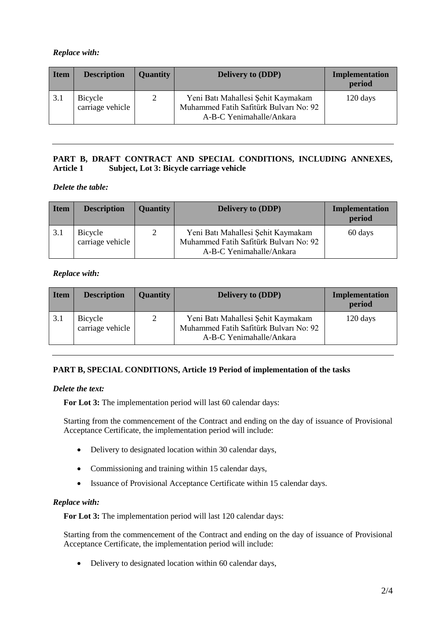# *Replace with:*

| Item | <b>Description</b>          | <b>Quantity</b> | <b>Delivery to (DDP)</b>                                                                                 | <b>Implementation</b><br>period |
|------|-----------------------------|-----------------|----------------------------------------------------------------------------------------------------------|---------------------------------|
| 3.1  | Bicycle<br>carriage vehicle | 2               | Yeni Batı Mahallesi Şehit Kaymakam<br>Muhammed Fatih Safitürk Bulvarı No: 92<br>A-B-C Yenimahalle/Ankara | 120 days                        |

# **PART B, DRAFT CONTRACT AND SPECIAL CONDITIONS, INCLUDING ANNEXES, Article 1 Subject, Lot 3: Bicycle carriage vehicle**

*Delete the table:*

| Item | <b>Description</b>          | <b>Quantity</b> | <b>Delivery to (DDP)</b>                                                                                 | Implementation<br>period |
|------|-----------------------------|-----------------|----------------------------------------------------------------------------------------------------------|--------------------------|
| 3.1  | Bicycle<br>carriage vehicle | 2               | Yeni Batı Mahallesi Şehit Kaymakam<br>Muhammed Fatih Safitürk Bulvarı No: 92<br>A-B-C Yenimahalle/Ankara | 60 days                  |

# *Replace with:*

| Item | <b>Description</b>          | <b>Quantity</b> | <b>Delivery to (DDP)</b>                                                                                 | <b>Implementation</b><br>period |
|------|-----------------------------|-----------------|----------------------------------------------------------------------------------------------------------|---------------------------------|
| 3.1  | Bicycle<br>carriage vehicle | $\mathcal{D}$   | Yeni Batı Mahallesi Şehit Kaymakam<br>Muhammed Fatih Safitürk Bulvarı No: 92<br>A-B-C Yenimahalle/Ankara | 120 days                        |

# **PART B, SPECIAL CONDITIONS, Article 19 Period of implementation of the tasks**

# *Delete the text:*

**For Lot 3:** The implementation period will last 60 calendar days:

Starting from the commencement of the Contract and ending on the day of issuance of Provisional Acceptance Certificate, the implementation period will include:

- Delivery to designated location within 30 calendar days,
- Commissioning and training within 15 calendar days,
- Issuance of Provisional Acceptance Certificate within 15 calendar days.

# *Replace with:*

**For Lot 3:** The implementation period will last 120 calendar days:

Starting from the commencement of the Contract and ending on the day of issuance of Provisional Acceptance Certificate, the implementation period will include:

• Delivery to designated location within 60 calendar days,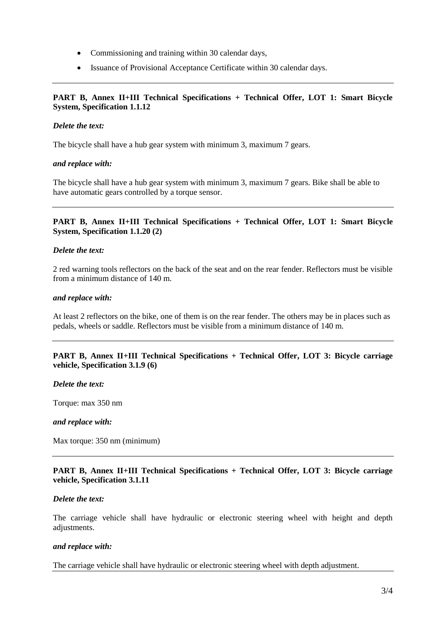- Commissioning and training within 30 calendar days,
- Issuance of Provisional Acceptance Certificate within 30 calendar days.

# **PART B, Annex II+III Technical Specifications + Technical Offer, LOT 1: Smart Bicycle System, Specification 1.1.12**

## *Delete the text:*

The bicycle shall have a hub gear system with minimum 3, maximum 7 gears.

## *and replace with:*

The bicycle shall have a hub gear system with minimum 3, maximum 7 gears. Bike shall be able to have automatic gears controlled by a torque sensor.

## **PART B, Annex II+III Technical Specifications + Technical Offer, LOT 1: Smart Bicycle System, Specification 1.1.20 (2)**

### *Delete the text:*

2 red warning tools reflectors on the back of the seat and on the rear fender. Reflectors must be visible from a minimum distance of 140 m.

### *and replace with:*

At least 2 reflectors on the bike, one of them is on the rear fender. The others may be in places such as pedals, wheels or saddle. Reflectors must be visible from a minimum distance of 140 m.

## **PART B, Annex II+III Technical Specifications + Technical Offer, LOT 3: Bicycle carriage vehicle, Specification 3.1.9 (6)**

*Delete the text:*

Torque: max 350 nm

#### *and replace with:*

Max torque: 350 nm (minimum)

## **PART B, Annex II+III Technical Specifications + Technical Offer, LOT 3: Bicycle carriage vehicle, Specification 3.1.11**

### *Delete the text:*

The carriage vehicle shall have hydraulic or electronic steering wheel with height and depth adjustments.

#### *and replace with:*

The carriage vehicle shall have hydraulic or electronic steering wheel with depth adjustment.